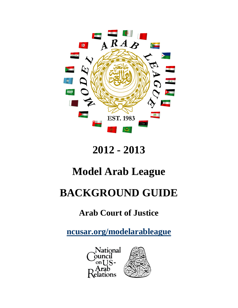

# **2012 - 2013**

## **Model Arab League**

## **BACKGROUND GUIDE**

### **Arab Court of Justice**

**[ncusar.org/modelarableague](http://ncusar.org/modelarableague)**

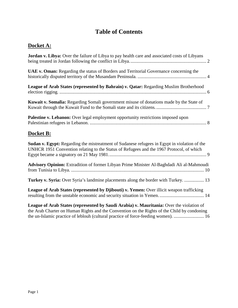### **Table of Contents**

### **Docket A:**

| Jordan v. Libya: Over the failure of Libya to pay health care and associated costs of Libyans                                                                                                                                                                                 |
|-------------------------------------------------------------------------------------------------------------------------------------------------------------------------------------------------------------------------------------------------------------------------------|
| UAE v. Oman: Regarding the status of Borders and Territorial Governance concerning the                                                                                                                                                                                        |
| League of Arab States (represented by Bahrain) v. Qatar: Regarding Muslim Brotherhood                                                                                                                                                                                         |
| Kuwait v. Somalia: Regarding Somali government misuse of donations made by the State of                                                                                                                                                                                       |
| Palestine v. Lebanon: Over legal employment opportunity restrictions imposed upon                                                                                                                                                                                             |
| Docket B:                                                                                                                                                                                                                                                                     |
| <b>Sudan v. Egypt:</b> Regarding the mistreatment of Sudanese refugees in Egypt in violation of the<br>UNHCR 1951 Convention relating to the Status of Refugees and the 1967 Protocol, of which                                                                               |
| Advisory Opinion: Extradition of former Libyan Prime Minister Al-Baghdadi Ali al-Mahmoudi                                                                                                                                                                                     |
| Turkey v. Syria: Over Syria's landmine placements along the border with Turkey.  13                                                                                                                                                                                           |
| League of Arab States (represented by Djibouti) v. Yemen: Over illicit weapon trafficking                                                                                                                                                                                     |
| League of Arab States (represented by Saudi Arabia) v. Mauritania: Over the violation of<br>the Arab Charter on Human Rights and the Convention on the Rights of the Child by condoning<br>the un-Islamic practice of leblouh (cultural practice of force-feeding women).  16 |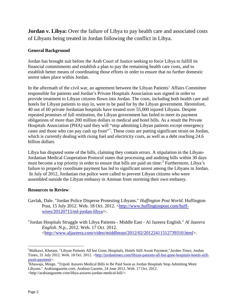<span id="page-2-0"></span>**Jordan v. Libya:** Over the failure of Libya to pay health care and associated costs of Libyans being treated in Jordan following the conflict in Libya.

#### **General Background**

Jordan has brought suit before the Arab Court of Justice seeking to force Libya to fulfill its financial commitments and establish a plan to pay the remaining health care costs, and to establish better means of coordinating those efforts in order to ensure that no further domestic unrest takes place within Jordan.

In the aftermath of the civil war, an agreement between the Libyan Patients' Affairs Committee responsible for patients and Jordan's Private Hospitals Association was signed in order to provide treatment to Libyan citizens flown into Jordan. The costs, including both health care and hotels for Libyan patients to stay in, were to be paid for by the Libyan government. Heretofore, 40 out of 60 private Jordanian hospitals have treated over 55,000 injured Libyans. Despite repeated promises of full restitution, the Libyan government has failed to meet its payment obligations of more than 200 million dollars in medical and hotel bills. As a result the Private Hospitals Association (PHA) said they will "stop admitting Libyan patients except emergency cases and those who can pay cash up front"<sup>[1](#page-2-1)</sup>. These costs are putting significant strain on Jordan, which is currently dealing with rising fuel and electricity costs, as well as a debt reaching 24.6 billion dollars.

Libya has disputed some of the bills, claiming they contain errors. A stipulation in the Libyan-Jordanian Medical Cooperation Protocol states that processing and auditing bills within 30 days must become a top priority in order to ensure that bills are paid on time.<sup>[2](#page-2-2)</sup> Furthermore, Libya's failure to properly coordinate payment has led to significant unrest among the Libyans in Jordan. In July of 2012, Jordanian riot police were called to prevent Libyan citizens who were assembled outside the Libyan embassy in Amman from storming their own embassy.

#### **Resources to Review**

Gavlak, Dale. "Jordan Police Disperse Protesting Libyans." *Huffington Post World*. Huffington Post, 15 July 2012. Web. 18 Oct. 2012. [<http://www.huffingtonpost.com/huff](http://www.huffingtonpost.com/huff-wires/20120715/ml-jordan-libya)[wires/20120715/ml-jordan-libya/](http://www.huffingtonpost.com/huff-wires/20120715/ml-jordan-libya)>.

"Jordan Hospitals Struggle with Libya Patients - Middle East - Al Jazeera English." *Al Jazeera English*. N.p., 2012. Web. 17 Oct. 2012. [<http://www.aljazeera.com/video/middleeast/2012/02/20122411512739310.html>](http://www.aljazeera.com/video/middleeast/2012/02/20122411512739310.html).

<span id="page-2-1"></span> $\frac{1}{1}$ <sup>1</sup>Malkawi, Khetam. "Libyan Patients All but Gone, Hospitals, Hotels Still Await Payment."*Jordan Times*. Jordan Times, 31 July 2012. Web. 18 Oct. 2012. [<http://jordantimes.com/libyan-patients-all-but-gone-hospitals-hotels-still](http://jordantimes.com/libyan-patients-all-but-gone-hospitals-hotels-still-await-payment)[await-payment>](http://jordantimes.com/libyan-patients-all-but-gone-hospitals-hotels-still-await-payment). <sup>2</sup>

<span id="page-2-2"></span> $^{2}$ Khawaja, Moign. "Tripoli Assures Medical Bills to Be Paid Soon as Jordan Hospitals Stop Admitting More Libyans." Arabiangazette.com. Arabian Gazette, 24 June 2012. Web. 17 Oct. 2012. [<http://arabiangazette.com/libya-assures-jordan-medical-bill/>](http://arabiangazette.com/libya-assures-jordan-medical-bill/).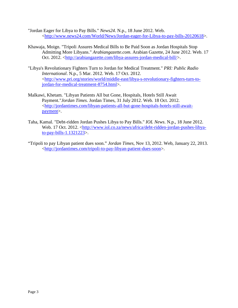"Jordan Eager for Libya to Pay Bills." *News24*. N.p., 18 June 2012. Web. [<http://www.news24.com/World/News/Jordan-eager-for-Libya-to-pay-bills-20120618>](http://www.news24.com/World/News/Jordan-eager-for-Libya-to-pay-bills-20120618).

- Khawaja, Moign. "Tripoli Assures Medical Bills to Be Paid Soon as Jordan Hospitals Stop Admitting More Libyans." *Arabiangazette.com*. Arabian Gazette, 24 June 2012. Web. 17 Oct. 2012. [<http://arabiangazette.com/libya-assures-jordan-medical-bill/>](http://arabiangazette.com/libya-assures-jordan-medical-bill/).
- "Libya's Revolutionary Fighters Turn to Jordan for Medical Treatment." *PRI: Public Radio International*. N.p., 5 Mar. 2012. Web. 17 Oct. 2012. [<http://www.pri.org/stories/world/middle-east/libya-s-revolutionary-fighters-turn-to](http://www.pri.org/stories/world/middle-east/libya-s-revolutionary-fighters-turn-to-jordan-for-medical-treatment-8754.html)[jordan-for-medical-treatment-8754.html>](http://www.pri.org/stories/world/middle-east/libya-s-revolutionary-fighters-turn-to-jordan-for-medical-treatment-8754.html).
- Malkawi, Khetam. "Libyan Patients All but Gone, Hospitals, Hotels Still Await Payment."*Jordan Times*. Jordan Times, 31 July 2012. Web. 18 Oct. 2012. [<http://jordantimes.com/libyan-patients-all-but-gone-hospitals-hotels-still-await](http://jordantimes.com/libyan-patients-all-but-gone-hospitals-hotels-still-await-payment)[payment>](http://jordantimes.com/libyan-patients-all-but-gone-hospitals-hotels-still-await-payment).
- Taha, Kamal. "Debt-ridden Jordan Pushes Libya to Pay Bills." *IOL News*. N.p., 18 June 2012. Web. 17 Oct. 2012. [<http://www.iol.co.za/news/africa/debt-ridden-jordan-pushes-libya](http://www.iol.co.za/news/africa/debt-ridden-jordan-pushes-libya-to-pay-bills-1.1321223)[to-pay-bills-1.1321223>](http://www.iol.co.za/news/africa/debt-ridden-jordan-pushes-libya-to-pay-bills-1.1321223).
- "Tripoli to pay Libyan patient dues soon." *Jordan Times*, Nov 13, 2012. Web, January 22, 2013. [<http://jordantimes.com/tripoli-to-pay-libyan-patient-dues-soon>](http://jordantimes.com/tripoli-to-pay-libyan-patient-dues-soon).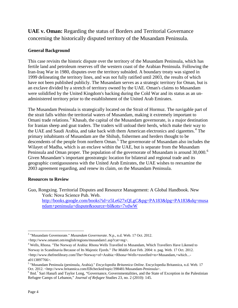<span id="page-4-0"></span>**UAE v. Oman:** Regarding the status of Borders and Territorial Governance concerning the historically disputed territory of the Musandam Peninsula.

#### **General Background**

This case revisits the historic dispute over the territory of the Musandam Peninsula, which has fertile land and petroleum reserves off the western coast of the Arabian Peninsula. Following the Iran-Iraq War in 1980, disputes over the territory subsided. A boundary treaty was signed in 1999 delineating the territory lines, and was not fully ratified until 2003, the results of which have not been published publicly. The Musandam serves as a strategic territory for Oman, but is an exclave divided by a stretch of territory owned by the UAE. Oman's claims to Musandam were solidified by the United Kingdom's backing during the Cold War and its status as an unadministered territory prior to the establishment of the United Arab Emirates.

The Musandam Peninsula is strategically located on the Strait of Hormuz. The navigable part of the strait falls within the territorial waters of Musandam, making it extremely important to Omani trade relations.<sup>[3](#page-4-1)</sup> Khasab, the capital of the Musandam governorate, is a major destination for Iranian sheep and goat traders. The traders will unload their herds, which make their way to the UAE and Saudi Arabia, and take back with them American electronics and cigarettes.<sup>[4](#page-4-2)</sup> The primary inhabitants of Musandam are the Shihuh, fishermen and herders thought to be descendents of the people from northern Oman.<sup>[5](#page-4-3)</sup> The governorate of Musandam also includes the Wilayet of Madha, which is an enclave within the UAE, but is separate from the Musandam Peninsula and Oman proper. The population of the governorate of Musandam is around 30,000.<sup>[6](#page-4-4)</sup> Given Musandam's important geostrategic location for bilateral and regional trade and its geographic contiguousness with the United Arab Emirates, the UAE wishes to reexamine the 2003 agreement regarding, and renew its claim, on the Musandam Peninsula.

#### **Resources to Review**

Guo, Rongxing. Territorial Disputes and Resource Management: A Global Handbook. New York: Nova Science Pub. Web. [http://books.google.com/books?id=z5Le627xQLgC&pg=PA183&lpg=PA183&dq=musa](http://books.google.com/books?id=z5Le627xQLgC&pg=PA183&lpg=PA183&dq=musandam+peninsula+dispute&source=bl&ots=7vdwW) [ndam+peninsula+dispute&source=bl&ots=7vdwW](http://books.google.com/books?id=z5Le627xQLgC&pg=PA183&lpg=PA183&dq=musandam+peninsula+dispute&source=bl&ots=7vdwW)

 <sup>3</sup> "Musandam Governorate." *Musandam Governorate*. N.p., n.d. Web. 17 Oct. 2012.

<span id="page-4-1"></span><sup>&</sup>lt;http://www.omanet.om/english/regions/musandam1.asp?cat=reg>.

<span id="page-4-2"></span><sup>&</sup>lt;sup>4</sup> Wells, Rhona. "The Norway of Arabia: Rhona Wells Travelled to Musandam, Which Travellers Have Likened to Norway in Scandinavia Because of Its Majestic Fjords." *The Middle East* Feb. 2004: n. pag. Web. 17 Oct. 2012.  $\langle$ http://www.thefreelibrary.com/The+Norway+of+Arabia:+Rhona+Wells+travelled+to+Musandam,+which...a0113897766>.

<sup>&</sup>lt;sup>5</sup> "Musandam Peninsula (peninsula, Arabia)." *Encyclopedia Britannica Online*. Encyclopedia Britannica, n.d. Web. 17<br>Oct. 2012. <http://www.britannica.com/EBchecked/topic/398481/Musandam-Peninsula>.

<span id="page-4-4"></span><span id="page-4-3"></span> $\delta$  Ibid.<sup>7</sup> Sari Hanafi and Taylor Long, "Governance, Governmentalities, and the State of Exception in the Palestinian Refugee Camps of Lebanon," *Journal of Refugee* Studies 23, no. 2 (2010): 145.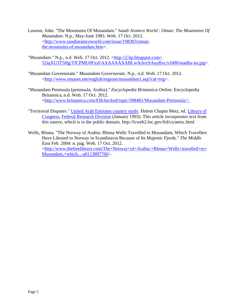- Lawton, John. "The Mountains Of Musandam." *Saudi Aramco World : Oman: The Mountains Of Musandam*. N.p., May-June 1983. Web. 17 Oct. 2012. [<http://www.saudiaramcoworld.com/issue/198303/oman](http://www.saudiaramcoworld.com/issue/198303/oman-the.mountains.of.musandam.htm)[the.mountains.of.musandam.htm>](http://www.saudiaramcoworld.com/issue/198303/oman-the.mountains.of.musandam.htm).
- "Musandum." N.p., n.d. Web. 17 Oct. 2012. [<http://2.bp.blogspot.com/-](http://2.bp.blogspot.com/-52iqXU3T5Hg/TfCPMU0FxsI/AAAAAAAABLw/kArzSAuyBxc/s1600/madha-na.jpg) [52iqXU3T5Hg/TfCPMU0FxsI/AAAAAAAABLw/kArzSAuyBxc/s1600/madha-na.jpg>](http://2.bp.blogspot.com/-52iqXU3T5Hg/TfCPMU0FxsI/AAAAAAAABLw/kArzSAuyBxc/s1600/madha-na.jpg).
- "Musandam Governorate." *Musandam Governorate*. N.p., n.d. Web. 17 Oct. 2012. [<http://www.omanet.om/english/regions/musandam1.asp?cat=reg>](http://www.omanet.om/english/regions/musandam1.asp?cat=reg).
- "Musandam Peninsula (peninsula, Arabia)." *Encyclopedia Britannica Online*. Encyclopedia Britannica, n.d. Web. 17 Oct. 2012. [<http://www.britannica.com/EBchecked/topic/398481/Musandam-Peninsula/>.](http://www.britannica.com/EBchecked/topic/398481/Musandam-Peninsula/%3e.)
- "Territorial Disputes." [United Arab Emirates country study.](http://lcweb2.loc.gov/frd/cs/aetoc.html) Helem Chapin Metz, ed. [Library of](http://en.wikipedia.org/wiki/Library_of_Congress)  [Congress,](http://en.wikipedia.org/wiki/Library_of_Congress) [Federal Research Division](http://en.wikipedia.org/wiki/Federal_Research_Division) (January 1993). This article incorporates text from this source, which is in the [public domain.](http://en.wikipedia.org/wiki/Public_domain) http://lcweb2.loc.gov/frd/cs/aetoc.html
- Wells, Rhona. "The Norway of Arabia: Rhona Wells Travelled to Musandam, Which Travellers Have Likened to Norway in Scandinavia Because of Its Majestic Fjords." *The Middle East* Feb. 2004: n. pag. Web. 17 Oct. 2012. [<http://www.thefreelibrary.com/The+Norway+of+Arabia:+Rhona+Wells+travelled+to+](http://www.thefreelibrary.com/The+Norway+of+Arabia:+Rhona+Wells+travelled+to+Musandam,+which...-a0113897766) [Musandam,+which...-a0113897766>](http://www.thefreelibrary.com/The+Norway+of+Arabia:+Rhona+Wells+travelled+to+Musandam,+which...-a0113897766).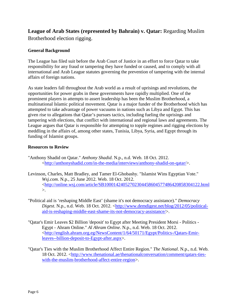<span id="page-6-0"></span>**League of Arab States (represented by Bahrain) v. Qatar:** Regarding Muslim Brotherhood election rigging.

#### **General Background**

The League has filed suit before the Arab Court of Justice in an effort to force Qatar to take responsibility for any fraud or tampering they have funded or caused, and to comply with all international and Arab League statutes governing the prevention of tampering with the internal affairs of foreign nations.

As state leaders fall throughout the Arab world as a result of uprisings and revolutions, the opportunities for power grabs in these governments have rapidly multiplied. One of the prominent players in attempts to assert leadership has been the Muslim Brotherhood, a multinational Islamic political movement. Qatar is a major funder of the Brotherhood which has attempted to take advantage of power vacuums in nations such as Libya and Egypt. This has given rise to allegations that Qatar's pursues tactics, including fueling the uprisings and tampering with elections, that conflict with international and regional laws and agreements. The League argues that Qatar is responsible for attempting to topple regimes and rigging elections by meddling in the affairs of, among other states, Tunisia, Libya, Syria, and Egypt through its funding of Islamist groups.

- "Anthony Shadid on Qatar." *Anthony Shadid*. N.p., n.d. Web. 18 Oct. 2012. [<http://anthonyshadid.com/in-the-media/interviews/anthony-shadid-on-qatar/>](http://anthonyshadid.com/in-the-media/interviews/anthony-shadid-on-qatar/).
- Levinson, Charles, Matt Bradley, and Tamer El-Ghobashy. "Islamist Wins Egyptian Vote." *Wsj.com*. N.p., 25 June 2012. Web. 18 Oct. 2012. [<http://online.wsj.com/article/SB10001424052702304458604577486420858304122.html](http://online.wsj.com/article/SB10001424052702304458604577486420858304122.html)  $\mathcal{L}$ .
- "Political aid is 'reshaping Middle East' (shame it's not democracy assistance)." *Democracy Digest*. N.p., n.d. Web. 18 Oct. 2012. [<http://www.demdigest.net/blog/2012/05/political](http://www.demdigest.net/blog/2012/05/political-aid-is-reshaping-middle-east-shame-its-not-democracy-assistance/)[aid-is-reshaping-middle-east-shame-its-not-democracy-assistance/>](http://www.demdigest.net/blog/2012/05/political-aid-is-reshaping-middle-east-shame-its-not-democracy-assistance/).
- "Qatar's Emir Leaves \$2 Billion 'deposit' to Egypt after Meeting President Morsi Politics Egypt - Ahram Online." *Al Ahram Online*. N.p., n.d. Web. 18 Oct. 2012. [<http://english.ahram.org.eg/NewsContent/1/64/50171/Egypt/Politics-/Qatars-Emir](http://english.ahram.org.eg/NewsContent/1/64/50171/Egypt/Politics-/Qatars-Emir-leaves--billion-deposit-to-Egypt-after.aspx)[leaves--billion-deposit-to-Egypt-after.aspx>](http://english.ahram.org.eg/NewsContent/1/64/50171/Egypt/Politics-/Qatars-Emir-leaves--billion-deposit-to-Egypt-after.aspx).
- "Qatar's Ties with the Muslim Brotherhood Affect Entire Region." *The National*. N.p., n.d. Web. 18 Oct. 2012. [<http://www.thenational.ae/thenationalconversation/comment/qatars-ties](http://www.thenational.ae/thenationalconversation/comment/qatars-ties-with-the-muslim-brotherhood-affect-entire-region)[with-the-muslim-brotherhood-affect-entire-region>](http://www.thenational.ae/thenationalconversation/comment/qatars-ties-with-the-muslim-brotherhood-affect-entire-region).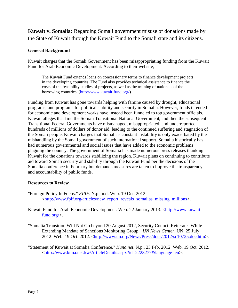<span id="page-7-0"></span>**Kuwait v. Somalia:** Regarding Somali government misuse of donations made by the State of Kuwait through the Kuwait Fund to the Somali state and its citizens.

#### **General Background**

Kuwait charges that the Somali Government has been misappropriating funding from the Kuwait Fund for Arab Economic Development. According to their website,

The Kuwait Fund extends loans on concessionary terms to finance development projects in the developing countries. The Fund also provides technical assistance to finance the costs of the feasibility studies of projects, as well as the training of nationals of the borrowing countries. [\(http://www.kuwait-fund.org/\)](http://www.kuwait-fund.org/)

Funding from Kuwait has gone towards helping with famine caused by drought, educational programs, and programs for political stability and security in Somalia. However, funds intended for economic and development works have instead been funneled to top government officials. Kuwait alleges that first the Somali Transitional National Government, and then the subsequent Transitional Federal Governments have mismanaged, misappropriated, and underreported hundreds of millions of dollars of donor aid, leading to the continued suffering and stagnation of the Somali people. Kuwait charges that Somalia's constant instability is only exacerbated by the mishandling by the Somali government of such international support. Somalia historically has had numerous governmental and social issues that have added to the economic problems plaguing the country. The government of Somalia has made numerous press releases thanking Kuwait for the donations towards stabilizing the region. Kuwait plans on continuing to contribute aid toward Somali security and stability through the Kuwait Fund per the decisions of the Somalia conference in February but demands measures are taken to improve the transparency and accountability of public funds.

#### **Resources to Review**

- "Foreign Policy In Focus." *FPIF*. N.p., n.d. Web. 19 Oct. 2012. [<http://www.fpif.org/articles/new\\_report\\_reveals\\_somalias\\_missing\\_millions>](http://www.fpif.org/articles/new_report_reveals_somalias_missing_millions).
- Kuwait Fund for Arab Economic Development. Web. 22 January 2013. [<http://www.kuwait](http://www.kuwait-fund.org/)[fund.org/>](http://www.kuwait-fund.org/).
- "Somalia Transition Will Not Go beyond 20 August 2012, Security Council Reiterates While Extending Mandate of Sanctions Monitoring Group." *UN News Center*. UN, 25 July 2012. Web. 19 Oct. 2012. [<http://www.un.org/News/Press/docs/2012/sc10725.doc.htm>](http://www.un.org/News/Press/docs/2012/sc10725.doc.htm).

"Statement of Kuwait at Somalia Conference." *Kuna.net*. N.p., 23 Feb. 2012. Web. 19 Oct. 2012. [<http://www.kuna.net.kw/ArticleDetails.aspx?id=2223277&language=en>](http://www.kuna.net.kw/ArticleDetails.aspx?id=2223277&language=en).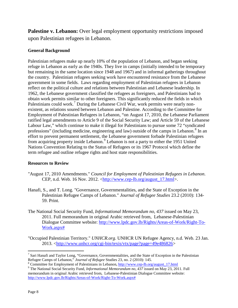<span id="page-8-0"></span>**Palestine v. Lebanon:** Over legal employment opportunity restrictions imposed upon Palestinian refugees in Lebanon.

#### **General Background**

Palestinian refugees make up nearly 10% of the population of Lebanon, and began seeking refuge in Lebanon as early as the 1940s. They live in camps (initially intended to be temporary but remaining in the same location since 1948 and 1967) and in informal gatherings throughout the country. Palestinian refugees seeking work have encountered resistance from the Lebanese government in some fields. Laws regarding employment of Palestinian refugees in Lebanon reflect on the political culture and relations between Palestinian and Lebanese leadership. In 1962, the Lebanese government classified the refugees as foreigners, and Palestinians had to obtain work permits similar to other foreigners. This significantly reduced the fields in which Palestinians could work.<sup>[7](#page-8-1)</sup> During the Lebanese Civil War, work permits were nearly nonexistent, as relations soured between Lebanon and Palestine. According to the Committee for Employment of Palestinian Refugees in Lebanon, "on August 17, 2010, the Lebanese Parliament ratified legal amendments to Article 9 of the [Social Security Law;](http://www.cep-lb.org/august_17.html) and Article 59 of the Lebanese Labour Law," which continue to make it illegal for Palestinians to pursue some 72 "syndicated professions" (including medicine, engineering and law) outside of the camps in Lebanon.<sup>[8](#page-8-2)</sup> In an effort to prevent permanent settlement, the Lebanese government forbade Palestinian refugees from acquiring property inside Lebanon.<sup>[9](#page-8-3)</sup> Lebanon is not a party to either the 1951 United Nations Convention Relating to the Status of Refugees or its 1967 Protocol which define the term refugee and outline refugee rights and host state responsibilities.

- "August 17, 2010 Amendments." *Council for Employment of Palestinian Refugees in Lebanon*. CEP, n.d. Web. 16 Nov. 2012. [<http://www.cep-lb.org/august\\_17.html>](http://www.cep-lb.org/august_17.html).
- Hanafi, S., and T. Long. "Governance, Governmentalities, and the State of Exception in the Palestinian Refugee Camps of Lebanon." *Journal of Refugee Studies* 23.2 (2010): 134- 59. Print.
- The National Social Security Fund, *Informational Memorandum no, 437* issued on May 23, 2011. Full memorandum in original Arabic retrieved from, Lebanese-Palestinian Dialogue Committee website: [http://www.lpdc.gov.lb/Rights/Areas-of-Work/Right-To-](http://www.lpdc.gov.lb/Rights/Areas-of-Work/Right-To-Work.aspx)[Work.aspx#](http://www.lpdc.gov.lb/Rights/Areas-of-Work/Right-To-Work.aspx)
- "Occupied Palestinian Territory." *UNHCR.org*. UNHCR UN Refugee Agency, n.d. Web. 23 Jan. 2013. [<http://www.unhcr.org/cgi-bin/texis/vtx/page?page=49e486826>](http://www.unhcr.org/cgi-bin/texis/vtx/page?page=49e486826)

<span id="page-8-1"></span><sup>&</sup>lt;sup>7</sup> Sari Hanafi and Taylor Long, "Governance, Governmentalities, and the State of Exception in the Palestinian Refugee Camps of Lebanon," *Journal of Refugee* Studies 23, no. 2 (2010): 145.

<span id="page-8-3"></span><span id="page-8-2"></span>

<sup>&</sup>lt;sup>8</sup> Committee for Employment of Palestinians in Lebanon, [http://www.cep-lb.org/august\\_17.html](http://www.cep-lb.org/august_17.html) <sup>9</sup> The National Social Security Fund, *Informational Memorandum no*, 437 issued on May 23, 2011. Full memorandum in original Arabic retrieved from, Lebanese-Palestinian Dialogue Committee website: [http://www.lpdc.gov.lb/Rights/Areas-of-Work/Right-To-Work.aspx#](http://www.lpdc.gov.lb/Rights/Areas-of-Work/Right-To-Work.aspx%23)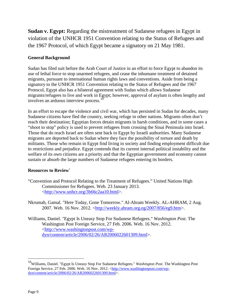<span id="page-9-0"></span>**Sudan v. Egypt:** Regarding the mistreatment of Sudanese refugees in Egypt in violation of the UNHCR 1951 Convention relating to the Status of Refugees and the 1967 Protocol, of which Egypt became a signatory on 21 May 1981.

#### **General Background**

Sudan has filed suit before the Arab Court of Justice in an effort to force Egypt to abandon its use of lethal force to stop unarmed refugees, and cease the inhumane treatment of detained migrants, pursuant to international human rights laws and conventions. Aside from being a signatory to the UNHCR 1951 Convention relating to the Status of Refugees and the 1967 Protocol, Egypt also has a bilateral agreement with Sudan which allows Sudanese migrants/refugees to live and work in Egypt; however, approval of asylum is often lengthy and involves an arduous interview process.<sup>[10](#page-9-1)</sup>

In an effort to escape the violence and civil war, which has persisted in Sudan for decades, many Sudanese citizens have fled the country, seeking refuge in other nations. Migrants often don't reach their destination; Egyptian forces detain migrants in harsh conditions, and in some cases a "shoot to stop" policy is used to prevent refugees from crossing the Sinai Peninsula into Israel. Those that do reach Israel are often sent back to Egypt by Israeli authorities. Many Sudanese migrants are deported back to Sudan where they face the possibility of torture and death by militants. Those who remain in Egypt find living in society and finding employment difficult due to restrictions and prejudice. Egypt contends that its current internal political instability and the welfare of its own citizens are a priority and that the Egyptian government and economy cannot sustain or absorb the large numbers of Sudanese refugees entering its borders.

- "Convention and Protocol Relating to the Treatment of Refugees." United Nations High Commissioner for Refugees. Web. 23 January 2013. [<http://www.unhcr.org/3b66c2aa10.html>](http://www.unhcr.org/3b66c2aa10.html).
- Nkrumah, Gamal. "Here Today, Gone Tomorrow." Al-Ahram Weekly. AL-AHRAM, 2 Aug. 2007. Web. 16 Nov. 2012. [<http://weekly.ahram.org.eg/2007/856/eg9.htm>](http://weekly.ahram.org.eg/2007/856/eg9.htm).
- Williams, Daniel. "Egypt Is Uneasy Stop For Sudanese Refugees." *Washington Post*. The Washington Post Foreign Service, 27 Feb. 2006. Web. 16 Nov. 2012. [<http://www.washingtonpost.com/wp](http://www.washingtonpost.com/wp-dyn/content/article/2006/02/26/AR2006022601309.html)[dyn/content/article/2006/02/26/AR2006022601309.html>](http://www.washingtonpost.com/wp-dyn/content/article/2006/02/26/AR2006022601309.html).

<span id="page-9-1"></span> <sup>10</sup>Williams, Daniel. "Egypt Is Uneasy Stop For Sudanese Refugees." *Washington Post*. The Washington Post Foreign Service, 27 Feb. 2006. Web. 16 Nov. 2012. [<http://www.washingtonpost.com/wp](http://www.washingtonpost.com/wp-dyn/content/article/2006/02/26/AR2006022601309.html)[dyn/content/article/2006/02/26/AR2006022601309.html>](http://www.washingtonpost.com/wp-dyn/content/article/2006/02/26/AR2006022601309.html).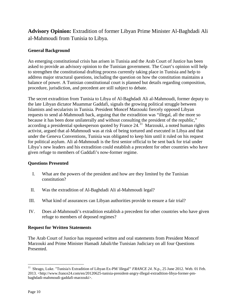<span id="page-10-0"></span>**Advisory Opinion:** Extradition of former Libyan Prime Minister Al-Baghdadi Ali al-Mahmoudi from Tunisia to Libya.

#### **General Background**

An emerging constitutional crisis has arisen in Tunisia and the Arab Court of Justice has been asked to provide an advisory opinion to the Tunisian government. The Court's opinion will help to strengthen the constitutional drafting process currently taking place in Tunisia and help to address major structural questions, including the question on how the constitution maintains a balance of power. A Tunisian constitutional court is planned but details regarding composition, procedure, jurisdiction, and precedent are still subject to debate.

The secret extradition from Tunisia to Libya of Al-Baghdadi Ali al-Mahmoudi, former deputy to the late Libyan dictator Muammar Gaddafi, signals the growing political struggle between Islamists and secularists in Tunisia. President Moncef Marzouki fiercely opposed Libyan requests to send al-Mahmoudi back, arguing that the extradition was "illegal, all the more so because it has been done unilaterally and without consulting the president of the republic," according a presidential spokesperson quoted by France  $24.11$  $24.11$  Marzouki, a noted human rights activist, argued that al-Mahmoudi was at risk of being tortured and executed in Libya and that under the Geneva Conventions, Tunisia was obligated to keep him until it ruled on his request for political asylum. Ali al-Mahmoudi is the first senior official to be sent back for trial under Libya's new leaders and his extradition could establish a precedent for other countries who have given refuge to members of Gaddafi's now-former regime.

#### **Questions Presented**

- I. What are the powers of the president and how are they limited by the Tunisian constitution?
- II. Was the extradition of Al-Baghdadi Ali al-Mahmoudi legal?
- III. What kind of assurances can Libyan authorities provide to ensure a fair trial?
- IV. Does al-Mahmoudi's extradition establish a precedent for other countries who have given refuge to members of deposed regimes?

#### **Request for Written Statements**

The Arab Court of Justice has requested written and oral statements from President Moncef Marzouki and Prime Minister Hamadi Jabali/the Tunisian Judiciary on all four Questions Presented.

<span id="page-10-1"></span><sup>&</sup>lt;sup>11</sup> Shrago, Luke. "Tunisia's Extradition of Libyan Ex-PM 'illegal'" *FRANCE 24*. N.p., 25 June 2012. Web. 01 Feb. 2013. <http://www.france24.com/en/20120625-tunisia-president-angry-illegal-extradition-libya-former-pmbaghdadi-mahmoudi-gaddafi-marzouki>.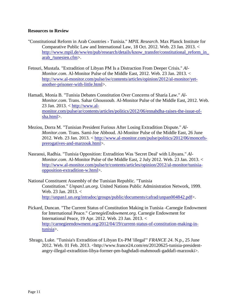- "Constitutional Reform in Arab Countries › Tunisia." *MPIL Research*. Max Planck Institute for Comparative Public Law and International Law, 18 Oct. 2012. Web. 23 Jan. 2013. < [http://www.mpil.de/ww/en/pub/research/details/know\\_transfer/constitutional\\_reform\\_in\\_](http://www.mpil.de/ww/en/pub/research/details/know_transfer/constitutional_reform_in_arab_/tunesien.cfm) [arab\\_/tunesien.cfm>](http://www.mpil.de/ww/en/pub/research/details/know_transfer/constitutional_reform_in_arab_/tunesien.cfm).
- Fetouri, Mustafa. "Extradition of Libyan PM Is a Distraction From Deeper Crisis." *Al-Monitor.com*. Al-Monitor Pulse of the Middle East, 2012. Web. 23 Jan. 2013. < [http://www.al-monitor.com/pulse/iw/contents/articles/opinion/2012/al-monitor/yet](http://www.al-monitor.com/pulse/iw/contents/articles/opinion/2012/al-monitor/yet-another-prisoner-with-little.html)[another-prisoner-with-little.html>](http://www.al-monitor.com/pulse/iw/contents/articles/opinion/2012/al-monitor/yet-another-prisoner-with-little.html).
- Hamadi, Monia B. "Tunisia Debates Constitution Over Concerns of Sharia Law." *Al-Monitor.com*. Trans. Sahar Ghoussoub. Al-Monitor Pulse of the Middle East, 2012. Web. 23 Jan. 2013. < [http://www.al](http://www.al-monitor.com/pulse/ar/contents/articles/politics/2012/06/ennahdha-raises-the-issue-of-sha.html)[monitor.com/pulse/ar/contents/articles/politics/2012/06/ennahdha-raises-the-issue-of](http://www.al-monitor.com/pulse/ar/contents/articles/politics/2012/06/ennahdha-raises-the-issue-of-sha.html)[sha.html>](http://www.al-monitor.com/pulse/ar/contents/articles/politics/2012/06/ennahdha-raises-the-issue-of-sha.html).
- Meziou, Dorra M. "Tunisian President Furious After Losing Extradition Dispute." *Al-Monitor.com*. Trans. Sami-Joe Abboud. Al-Monitor Pulse of the Middle East, 26 June 2012. Web. 23 Jan. 2013. < [http://www.al-monitor.com/pulse/politics/2012/06/moncefs](http://www.al-monitor.com/pulse/politics/2012/06/moncefs-prerogatives-and-marzouk.html)[prerogatives-and-marzouk.html>](http://www.al-monitor.com/pulse/politics/2012/06/moncefs-prerogatives-and-marzouk.html).
- Nasraoui, Radhia. "Tunisia Opposition: Extradition Was 'Secret Deal' with Libyans." *Al-Monitor.com*. Al-Monitor Pulse of the Middle East, 2 July 2012. Web. 23 Jan. 2013. < [http://www.al-monitor.com/pulse/tr/contents/articles/opinion/2012/al-monitor/tunisia](http://www.al-monitor.com/pulse/tr/contents/articles/opinion/2012/al-monitor/tunisia-opposition-extradition-w.html)[opposition-extradition-w.html>](http://www.al-monitor.com/pulse/tr/contents/articles/opinion/2012/al-monitor/tunisia-opposition-extradition-w.html).
- National Constituent Assembly of the Tunisian Republic. "Tunisia Constitution." *Unpan1.un.org*. United Nations Public Administration Network, 1999. Web. 23 Jan. 2013. < [http://unpan1.un.org/intradoc/groups/public/documents/cafrad/unpan004842.pdf>](http://unpan1.un.org/intradoc/groups/public/documents/cafrad/unpan004842.pdf).
- Pickard, Duncan. "The Current Status of Constitution Making in Tunisia -Carnegie Endowment for International Peace." *CarnegieEndowment.org*. Carnegie Endowment for International Peace, 19 Apr. 2012. Web. 23 Jan. 2013. < [http://carnegieendowment.org/2012/04/19/current-status-of-constitution-making-in](http://carnegieendowment.org/2012/04/19/current-status-of-constitution-making-in-tunisia)[tunisia>](http://carnegieendowment.org/2012/04/19/current-status-of-constitution-making-in-tunisia).
- Shrago, Luke. "Tunisia's Extradition of Libyan Ex-PM 'illegal'" *FRANCE 24*. N.p., 25 June 2012. Web. 01 Feb. 2013. <http://www.france24.com/en/20120625-tunisia-presidentangry-illegal-extradition-libya-former-pm-baghdadi-mahmoudi-gaddafi-marzouki>.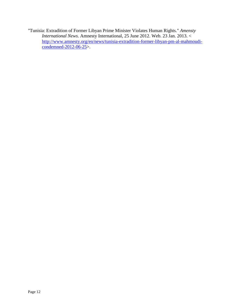"Tunisia: Extradition of Former Libyan Prime Minister Violates Human Rights." *Amensty International News*. Amnesty International, 25 June 2012. Web. 23 Jan. 2013. < [http://www.amnesty.org/en/news/tunisia-extradition-former-libyan-pm-al-mahmoudi](http://www.amnesty.org/en/news/tunisia-extradition-former-libyan-pm-al-mahmoudi-condemned-2012-06-25)[condemned-2012-06-25>](http://www.amnesty.org/en/news/tunisia-extradition-former-libyan-pm-al-mahmoudi-condemned-2012-06-25).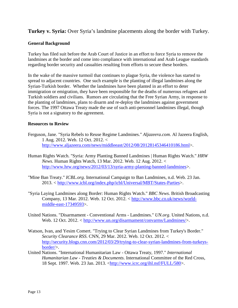<span id="page-13-0"></span>**Turkey v. Syria:** Over Syria's landmine placements along the border with Turkey.

#### **General Background**

Turkey has filed suit before the Arab Court of Justice in an effort to force Syria to remove the landmines at the border and come into compliance with international and Arab League standards regarding border security and casualties resulting from efforts to secure these borders.

In the wake of the massive turmoil that continues to plague Syria, the violence has started to spread to adjacent countries. One such example is the planting of illegal landmines along the Syrian-Turkish border. Whether the landmines have been planted in an effort to deter immigration or emigration, they have been responsible for the deaths of numerous refugees and Turkish soldiers and civilians. Rumors are circulating that the Free Syrian Army, in response to the planting of landmines, plans to disarm and re-deploy the landmines against government forces. The 1997 Ottawa Treaty made the use of such anti-personnel landmines illegal, though Syria is not a signatory to the agreement.

- Ferguson, Jane. "Syria Rebels to Reuse Regime Landmines." *Aljazeera.com*. Al Jazeera English, 1 Aug. 2012. Web. 12 Oct. 2012. < [http://www.aljazeera.com/news/middleeast/2012/08/20128145346410186.html>](http://www.aljazeera.com/news/middleeast/2012/08/20128145346410186.html).
- Human Rights Watch. "Syria: Army Planting Banned Landmines | Human Rights Watch." *HRW News*. Human Rights Watch, 13 Mar. 2012. Web. 12 Aug. 2012. < [http://www.hrw.org/news/2012/03/13/syria-army-planting-banned-landmines>](http://www.hrw.org/news/2012/03/13/syria-army-planting-banned-landmines).
- "Mine Ban Treaty." *ICBL.org*. International Campaign to Ban Landmines, n.d. Web. 23 Jan. 2013. < [http://www.icbl.org/index.php/icbl/Universal/MBT/States-Parties>](http://www.icbl.org/index.php/icbl/Universal/MBT/States-Parties).
- "Syria Laying Landmines along Border: Human Rights Watch." *BBC News*. British Broadcasting Company, 13 Mar. 2012. Web. 12 Oct. 2012. < [http://www.bbc.co.uk/news/world](http://www.bbc.co.uk/news/world-middle-east-17349593)[middle-east-17349593>](http://www.bbc.co.uk/news/world-middle-east-17349593).
- United Nations. "Disarmament Conventional Arms Landmines." *UN.org*. United Nations, n.d. Web. 12 Oct. 2012. < [http://www.un.org/disarmament/convarms/Landmines/>](http://www.un.org/disarmament/convarms/Landmines/).
- Watson, Ivan, and Yesim Comert. "Trying to Clear Syrian Landmines from Turkey's Border." *Security Clearance RSS*. CNN, 29 Mar. 2012. Web. 12 Oct. 2012. < [http://security.blogs.cnn.com/2012/03/29/trying-to-clear-syrian-landmines-from-turkeys](http://security.blogs.cnn.com/2012/03/29/trying-to-clear-syrian-landmines-from-turkeys-border/)[border/>](http://security.blogs.cnn.com/2012/03/29/trying-to-clear-syrian-landmines-from-turkeys-border/).
- United Nations. "International Humanitarian Law Ottawa Treaty, 1997." *International Humanitarian Law - Treaties & Documents*. International Committee of the Red Cross, 18 Sept. 1997. Web. 23 Jan. 2013. [<http://www.icrc.org/ihl.nsf/FULL/580>](http://www.icrc.org/ihl.nsf/FULL/580).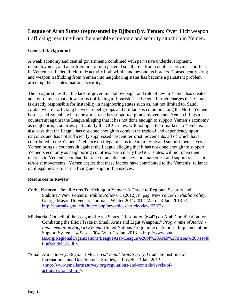<span id="page-14-0"></span>**League of Arab States (represented by Djibouti) v. Yemen:** Over illicit weapon trafficking resulting from the unstable economic and security situation in Yemen.

#### **General Background**

A weak economy and central government, combined with pervasive underdevelopment, unemployment, and a proliferation of unregistered small arms from countless previous conflicts in Yemen has fueled illicit trade activity both within and beyond its borders. Consequently, drug and weapon trafficking from Yemen into neighboring states has become a persistent problem affecting those states' national security.

The League states that the lack of governmental oversight and rule of law in Yemen has created an environment that allows arms trafficking to flourish. The League further charges that Yemen is directly responsible for instability in neighboring states such as, but not limited to, Saudi Arabia where trafficking between rebel groups and militants is common along the North Yemen border, and Somalia where the arms trade has supported piracy movements. Yemen brings a countersuit against the League alleging that it has not done enough to support Yemen's economy as neighboring countries, particularly the GCC states, will not open their markets to Yemenis. It also says that the League has not done enough to combat the trade of and dependency upon narcotics and has not sufficiently suppressed nascent terrorist movements, all of which have contributed to the Yemenis' reliance on illegal means to earn a living and support themselves. Yemen brings a countersuit against the League alleging that it has not done enough to: support Yemen's economy as neighboring countries, particularly the GCC states, will not open their markets to Yemenis; combat the trade of and dependency upon narcotics; and suppress nascent terrorist movements. Yemen argues that these factors have contributed to the Yemenis' reliance on illegal means to earn a living and support themselves.

- Corbi, Kathryn. "Small Arms Trafficking in Yemen: A Threat to Regional Security and Stability." *New Voices in Public Policy* 6.1 (2012): n. pag. *New Voices In Public Policy*. George Mason University: Journals, Winter 2011/2012. Web. 23 Jan. 2013. < [http://journals.gmu.edu/index.php/newvoices/article/view/65/63>](http://journals.gmu.edu/index.php/newvoices/article/view/65/63).
- Ministerial Council of the League of Arab States. "Resolution (6447) on Arab Coordination for Combating the Illicit Trade in Small Arms and Light Weapons." *Programme of Action - Implementation Support System*. United Nations Programme of Action - Implementation Support System, 14 Sept. 2004. Web. 23 Jan. 2013. < [http://www.poa](http://www.poa-iss.org/RegionalOrganizations/LeagueArab/League%20of%20Arab%20States%20Resolution%206447.pdf)[iss.org/RegionalOrganizations/LeagueArab/League%20of%20Arab%20States%20Resolu](http://www.poa-iss.org/RegionalOrganizations/LeagueArab/League%20of%20Arab%20States%20Resolution%206447.pdf) [tion%206447.pdf>](http://www.poa-iss.org/RegionalOrganizations/LeagueArab/League%20of%20Arab%20States%20Resolution%206447.pdf).
- "Small Arms Survey: Regional Measures." *Small Arms Survey*. Graduate Institute of International and Development Studies, n.d. Web. 23 Jan. 2013. [<http://www.smallarmssurvey.org/regulations-and-controls/levels-of](http://www.smallarmssurvey.org/regulations-and-controls/levels-of-action/regional.html)[action/regional.html>](http://www.smallarmssurvey.org/regulations-and-controls/levels-of-action/regional.html).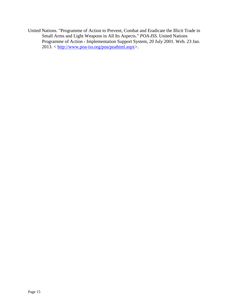United Nations. "Programme of Action to Prevent, Combat and Eradicate the Illicit Trade in Small Arms and Light Weapons in All Its Aspects." *POA-ISS*. United Nations Programme of Action - Implementation Support System, 20 July 2001. Web. 23 Jan. 2013. < [http://www.poa-iss.org/poa/poahtml.aspx>](http://www.poa-iss.org/poa/poahtml.aspx).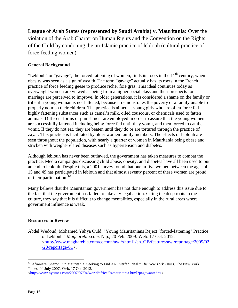<span id="page-16-0"></span>**League of Arab States (represented by Saudi Arabia) v. Mauritania:** Over the violation of the Arab Charter on Human Rights and the Convention on the Rights of the Child by condoning the un-Islamic practice of leblouh (cultural practice of force-feeding women).

#### **General Background**

"Leblouh" or "gavage", the forced fattening of women, finds its roots in the  $11<sup>th</sup>$  century, when obesity was seen as a sign of wealth. The term "gavage" actually has its roots in the French practice of force feeding geese to produce richer foie gras. This ideal continues today as overweight women are viewed as being from a higher social class and their prospects for marriage are perceived to improve. In older generations, it is considered a shame on the family or tribe if a young woman is not fattened, because it demonstrates the poverty of a family unable to properly nourish their children. The practice is aimed at young girls who are often force fed highly fattening substances such as camel's milk, oiled couscous, or chemicals used to fatten animals. Different forms of punishment are employed in order to assure that the young women are successfully fattened including being force fed until they vomit, and then forced to eat the vomit. If they do not eat, they are beaten until they do or are tortured through the practice of zayar. This practice is facilitated by older women family members. The effects of leblouh are seen throughout the population, with nearly a quarter of women in Mauritania being obese and stricken with weight-related diseases such as hypertension and diabetes.

Although leblouh has never been outlawed, the government has taken measures to combat the practice. Media campaigns discussing child abuse, obesity, and diabetes have all been used to put an end to leblouh. Despite this, a 2001 survey found that one in five women between the ages of 15 and 49 has participated in leblouh and that almost seventy percent of these women are proud of their participation.<sup>[12](#page-16-1)</sup>

Many believe that the Mauritanian government has not done enough to address this issue due to the fact that the government has failed to take any legal action. Citing the deep roots in the culture, they say that it is difficult to change mentalities, especially in the rural areas where government influence is weak.

#### **Resources to Review**

Abdel Wedoud, Mohamed Yahya Ould. "Young Mauritanians Reject "forced-fattening" Practice of Leblouh." *Magharebia.com*. N.p., 20 Feb. 2009. Web. 17 Oct. 2012. [<http://www.magharebia.com/cocoon/awi/xhtml1/en\\_GB/features/awi/reportage/2009/02](http://www.magharebia.com/cocoon/awi/xhtml1/en_GB/features/awi/reportage/2009/02/20/reportage-01) [/20/reportage-01>](http://www.magharebia.com/cocoon/awi/xhtml1/en_GB/features/awi/reportage/2009/02/20/reportage-01).

<span id="page-16-1"></span><sup>&</sup>lt;sup>12</sup>Lafraniere, Sharon. "In Mauritania, Seeking to End An Overfed Ideal." *The New York Times*. The New York Times, 04 July 2007. Web. 17 Oct. 2012.

 $\lt$ http://www.nytimes.com/2007/07/04/world/africa/04mauritania.html?pagewanted=1>.